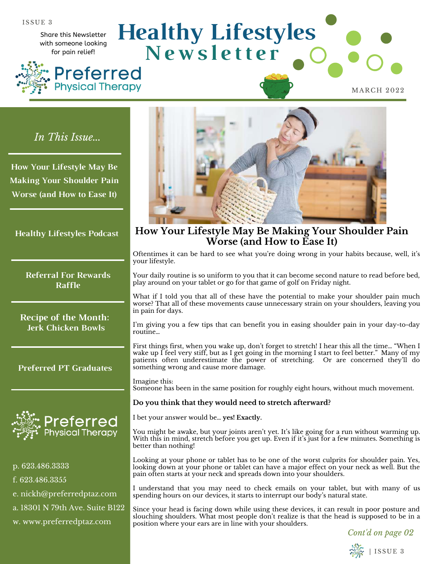Share this Newsletter with someone looking for pain relief!



**N e w s l e t t e r Preferred Physical Therapy** 

**Healthy Lifestyles**

**How Your Lifestyle May Be Making Your Shoulder Pain Worse (and How to Ease It)**

Oftentimes it can be hard to see what you're doing wrong in your habits because, well, it's your lifestyle.

Your daily routine is so uniform to you that it can become second nature to read before bed, play around on your tablet or go for that game of golf on Friday night.

What if I told you that all of these have the potential to make your shoulder pain much worse? That all of these movements cause unnecessary strain on your shoulders, leaving you in pain for days.

I'm giving you a few tips that can benefit you in easing shoulder pain in your day-to-day routine…

First things first, when you wake up, don't forget to stretch! I hear this all the time… "When I wake up I feel very stiff, but as I get going in the morning I start to feel better." Many of my patients often underestimate the power of stretching. Or are concerned they'll do something wrong and cause more damage.

Imagine this: Someone has been in the same position for roughly eight hours, without much movement.

#### **Do you think that they would need to stretch afterward?**

I bet your answer would be… **yes! Exactly.**

You might be awake, but your joints aren't yet. It's like going for a run without warming up. With this in mind, stretch before you get up. Even if it's just for a few minutes. Something is better than nothing!

Looking at your phone or tablet has to be one of the worst culprits for shoulder pain. Yes, looking down at your phone or tablet can have a major effect on your neck as well. But the pain often starts at your neck and spreads down into your shoulders.

I understand that you may need to check emails on your tablet, but with many of us spending hours on our devices, it starts to interrupt our body's natural state.

Since your head is facing down while using these devices, it can result in poor posture and slouching shoulders. What most people don't realize is that the head is supposed to be in a position where your ears are in line with your shoulders.

*Cont'd on page 02*



MARCH 2022

*In This Issue...*

**How Your Lifestyle May Be Making Your Shoulder Pain Worse (and How to Ease It)**

**Healthy Lifestyles Podcast**

**Referral For Rewards Raffle**

**Recipe of the Month: Jerk Chicken Bowls**

**Preferred PT Graduates**



p. 623.486.3333 f. 623.486.3355 e. nickh@preferredptaz.com a. 18301 N 79th Ave. Suite B122 w. www.preferredptaz.com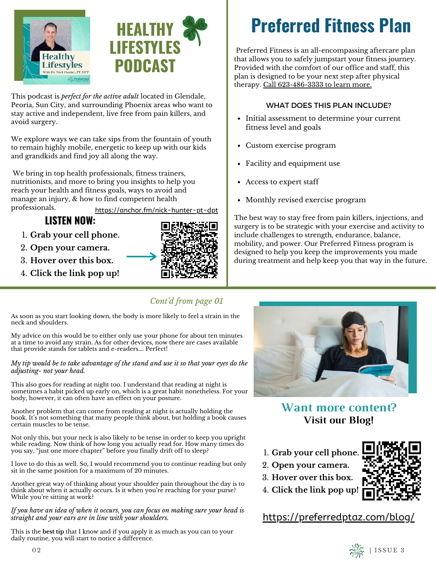



This podcast is *perfect for the active adult* located in Glendale, Peoria, Sun City, and surrounding Phoenix areas who want to stay active and independent, live free from pain killers, and avoid surgery.

We explore ways we can take sips from the fountain of youth to remain highly mobile, energetic to keep up with our kids and grandkids and find joy all along the way.

 We bring in top health professionals, fitness trainers, nutritionists, and more to bring you insights to help you reach your health and fitness goals, ways to avoid and manage an injury, & how to find competent health professionals.

<https://anchor.fm/nick-hunter-pt-dpt>

## **LISTEN NOW:**

- **Grab your cell phone.** 1.
- **Open your camera.**  2.
- **Hover over this box.** 3.
- **Click the link pop up!** 4.



# **Preferred Fitness Plan**

 Preferred Fitness is an all-encompassing aftercare plan that allows you to safely jumpstart your fitness journey. Provided with the comfort of our office and staff, this plan is designed to be your next step after physical therapy. Call 623-486-3333 to learn more.

#### WHAT DOES THIS PLAN INCLUDE?

- Initial assessment to determine your current fitness level and goals
- Custom exercise program
- Facility and equipment use
- Access to expert staff
- Monthly revised exercise program

The best way to stay free from pain killers, injections, and surgery is to be strategic with your exercise and activity to include challenges to strength, endurance, balance, mobility, and power. Our Preferred Fitness program is designed to help you keep the improvements you made during treatment and help keep you that way in the future.

### *Cont'd from page 01*

As soon as you start looking down, the body is more likely to feel a strain in the neck and shoulders.

My advice on this would be to either only use your phone for about ten minutes at a time to avoid any strain. As for other devices, now there are cases available that provide stands for tablets and e-readers…. Perfect!

#### *My tip would be to take advantage of the stand and use it so that your eyes do the adjusting- not your head.*

This also goes for reading at night too. I understand that reading at night is sometimes a habit picked up early on, which is a great habit nonetheless. For your body, however, it can often have an effect on your posture.

Another problem that can come from reading at night is actually holding the book. It's not something that many people think about, but holding a book causes certain muscles to be tense.

Not only this, but your neck is also likely to be tense in order to keep you upright while reading. Now think of how long you actually read for. How many times do you say, "just one more chapter" before you finally drift off to sleep?

I love to do this as well. So, I would recommend you to continue reading but only sit in the same position for a maximum of 20 minutes.

Another great way of thinking about your shoulder pain throughout the day is to think about when it actually occurs. Is it when you're reaching for your purse? While you're sitting at work?

*If you have an idea of when it occurs, you can focus on making sure your head is straight and your ears are in line with your shoulders.* 

This is the **best tip** that I know and if you apply it as much as you can to your daily routine, you will start to notice a difference.



**Want more content? Visit our Blog!**

- **Grab your cell phone.** 1.
- **Open your camera.**  2.
- **Hover over this box.** 3.
- **Click the link pop up!** 4.

<https://preferredptaz.com/blog/>



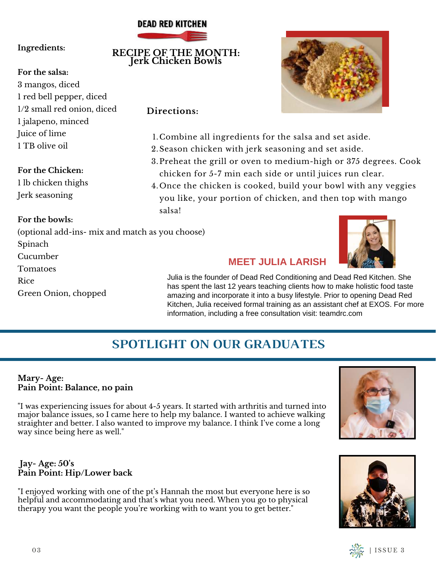### **DEAD RED KITCHEN**

**RECIPE OF THE MONTH: Jerk Chicken Bowls**

#### **Ingredients:**

#### **For the salsa:**

3 mangos, diced 1 red bell pepper, diced 1/2 small red onion, diced 1 jalapeno, minced Juice of lime 1 TB olive oil

#### **For the Chicken:**

1 lb chicken thighs Jerk seasoning

#### **For the bowls:**

(optional add-ins- mix and match as you choose) Spinach Cucumber Tomatoes Rice Green Onion, chopped

#### **Directions:**

- 1. Combine all ingredients for the salsa and set aside.
- 2. Season chicken with jerk seasoning and set aside.
- 3.Preheat the grill or oven to medium-high or 375 degrees. Cook chicken for 5-7 min each side or until juices run clear.
- Once the chicken is cooked, build your bowl with any veggies 4. you like, your portion of chicken, and then top with mango salsa!

#### **MEET JULIA LARISH**

Julia is the founder of Dead Red Conditioning and Dead Red Kitchen. She has spent the last 12 years teaching clients how to make holistic food taste amazing and incorporate it into a busy lifestyle. Prior to opening Dead Red Kitchen, Julia received formal training as an assistant chef at EXOS. For more information, including a free consultation visit: teamdrc.com

# **SPOTLIGHT ON OUR GRADUATES**

#### **Mary- Age: Pain Point: Balance, no pain**

"I was experiencing issues for about 4-5 years. It started with arthritis and turned into major balance issues, so I came here to help my balance. I wanted to achieve walking straighter and better. I also wanted to improve my balance. I think I've come a long way since being here as well."

#### **Jay- Age: 50's Pain Point: Hip/Lower back**

"I enjoyed working with one of the pt's Hannah the most but everyone here is so helpful and accommodating and that's what you need. When you go to physical therapy you want the people you're working with to want you to get better."